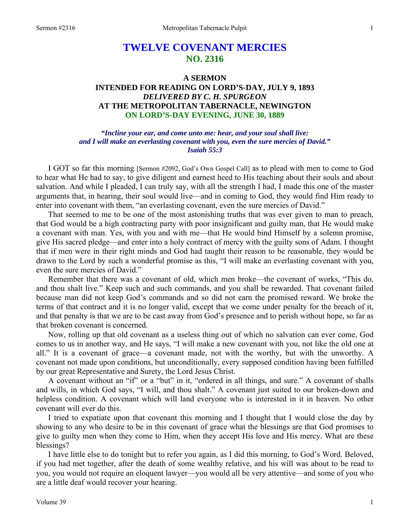# **TWELVE COVENANT MERCIES NO. 2316**

## **A SERMON INTENDED FOR READING ON LORD'S-DAY, JULY 9, 1893**  *DELIVERED BY C. H. SPURGEON*  **AT THE METROPOLITAN TABERNACLE, NEWINGTON ON LORD'S-DAY EVENING, JUNE 30, 1889**

*"Incline your ear, and come unto me: hear, and your soul shall live: and I will make an everlasting covenant with you, even the sure mercies of David." Isaiah 55:3* 

I GOT so far this morning [Sermon #2092, God's Own Gospel Call] as to plead with men to come to God to hear what He had to say, to give diligent and earnest heed to His teaching about their souls and about salvation. And while I pleaded, I can truly say, with all the strength I had, I made this one of the master arguments that, in hearing, their soul would live—and in coming to God, they would find Him ready to enter into covenant with them, "an everlasting covenant, even the sure mercies of David."

That seemed to me to be one of the most astonishing truths that was ever given to man to preach, that God would be a high contracting party with poor insignificant and guilty man, that He would make a covenant with man. Yes, with you and with me—that He would bind Himself by a solemn promise, give His sacred pledge—and enter into a holy contract of mercy with the guilty sons of Adam. I thought that if men were in their right minds and God had taught their reason to be reasonable, they would be drawn to the Lord by such a wonderful promise as this, "I will make an everlasting covenant with you, even the sure mercies of David."

Remember that there was a covenant of old, which men broke—the covenant of works, "This do, and thou shalt live." Keep such and such commands, and you shall be rewarded. That covenant failed because man did not keep God's commands and so did not earn the promised reward. We broke the terms of that contract and it is no longer valid, except that we come under penalty for the breach of it, and that penalty is that we are to be cast away from God's presence and to perish without hope, so far as that broken covenant is concerned.

Now, rolling up that old covenant as a useless thing out of which no salvation can ever come, God comes to us in another way, and He says, "I will make a new covenant with you, not like the old one at all." It is a covenant of grace—a covenant made, not with the worthy, but with the unworthy. A covenant not made upon conditions, but unconditionally, every supposed condition having been fulfilled by our great Representative and Surety, the Lord Jesus Christ.

A covenant without an "if" or a "but" in it, "ordered in all things, and sure." A covenant of shalls and wills, in which God says, "I will, and thou shalt." A covenant just suited to our broken-down and helpless condition. A covenant which will land everyone who is interested in it in heaven. No other covenant will ever do this.

I tried to expatiate upon that covenant this morning and I thought that I would close the day by showing to any who desire to be in this covenant of grace what the blessings are that God promises to give to guilty men when they come to Him, when they accept His love and His mercy. What are these blessings?

I have little else to do tonight but to refer you again, as I did this morning, to God's Word. Beloved, if you had met together, after the death of some wealthy relative, and his will was about to be read to you, you would not require an eloquent lawyer—you would all be very attentive—and some of you who are a little deaf would recover your hearing.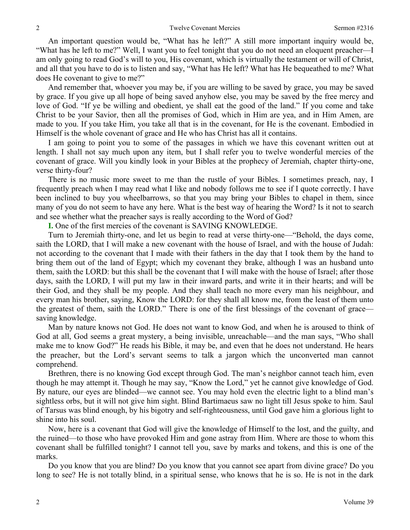An important question would be, "What has he left?" A still more important inquiry would be, "What has he left to me?" Well, I want you to feel tonight that you do not need an eloquent preacher—I am only going to read God's will to you, His covenant, which is virtually the testament or will of Christ, and all that you have to do is to listen and say, "What has He left? What has He bequeathed to me? What does He covenant to give to me?"

And remember that, whoever you may be, if you are willing to be saved by grace, you may be saved by grace. If you give up all hope of being saved anyhow else, you may be saved by the free mercy and love of God. "If ye be willing and obedient, ye shall eat the good of the land." If you come and take Christ to be your Savior, then all the promises of God, which in Him are yea, and in Him Amen, are made to you. If you take Him, you take all that is in the covenant, for He is the covenant. Embodied in Himself is the whole covenant of grace and He who has Christ has all it contains.

I am going to point you to some of the passages in which we have this covenant written out at length. I shall not say much upon any item, but I shall refer you to twelve wonderful mercies of the covenant of grace. Will you kindly look in your Bibles at the prophecy of Jeremiah, chapter thirty-one, verse thirty-four?

There is no music more sweet to me than the rustle of your Bibles. I sometimes preach, nay, I frequently preach when I may read what I like and nobody follows me to see if I quote correctly. I have been inclined to buy you wheelbarrows, so that you may bring your Bibles to chapel in them, since many of you do not seem to have any here. What is the best way of hearing the Word? Is it not to search and see whether what the preacher says is really according to the Word of God?

**I.** One of the first mercies of the covenant is SAVING KNOWLEDGE.

Turn to Jeremiah thirty-one, and let us begin to read at verse thirty-one—"Behold, the days come, saith the LORD, that I will make a new covenant with the house of Israel, and with the house of Judah: not according to the covenant that I made with their fathers in the day that I took them by the hand to bring them out of the land of Egypt; which my covenant they brake, although I was an husband unto them, saith the LORD: but this shall be the covenant that I will make with the house of Israel; after those days, saith the LORD, I will put my law in their inward parts, and write it in their hearts; and will be their God, and they shall be my people. And they shall teach no more every man his neighbour, and every man his brother, saying, Know the LORD: for they shall all know me, from the least of them unto the greatest of them, saith the LORD." There is one of the first blessings of the covenant of grace saving knowledge.

Man by nature knows not God. He does not want to know God, and when he is aroused to think of God at all, God seems a great mystery, a being invisible, unreachable—and the man says, "Who shall make me to know God?" He reads his Bible, it may be, and even that he does not understand. He hears the preacher, but the Lord's servant seems to talk a jargon which the unconverted man cannot comprehend.

Brethren, there is no knowing God except through God. The man's neighbor cannot teach him, even though he may attempt it. Though he may say, "Know the Lord," yet he cannot give knowledge of God. By nature, our eyes are blinded—we cannot see. You may hold even the electric light to a blind man's sightless orbs, but it will not give him sight. Blind Bartimaeus saw no light till Jesus spoke to him. Saul of Tarsus was blind enough, by his bigotry and self-righteousness, until God gave him a glorious light to shine into his soul.

Now, here is a covenant that God will give the knowledge of Himself to the lost, and the guilty, and the ruined—to those who have provoked Him and gone astray from Him. Where are those to whom this covenant shall be fulfilled tonight? I cannot tell you, save by marks and tokens, and this is one of the marks.

Do you know that you are blind? Do you know that you cannot see apart from divine grace? Do you long to see? He is not totally blind, in a spiritual sense, who knows that he is so. He is not in the dark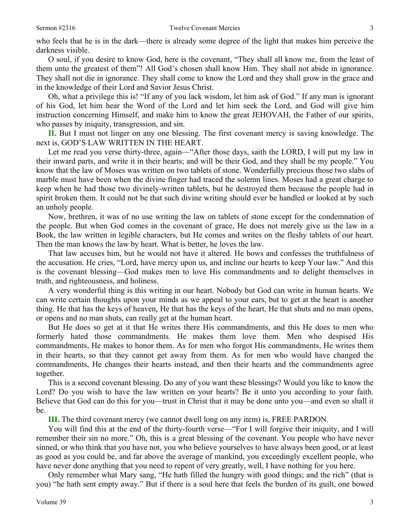who feels that he is in the dark—there is already some degree of the light that makes him perceive the darkness visible.

O soul, if you desire to know God, here is the covenant, "They shall all know me, from the least of them unto the greatest of them"! All God's chosen shall know Him. They shall not abide in ignorance. They shall not die in ignorance. They shall come to know the Lord and they shall grow in the grace and in the knowledge of their Lord and Savior Jesus Christ.

Oh, what a privilege this is! "If any of you lack wisdom, let him ask of God." If any man is ignorant of his God, let him hear the Word of the Lord and let him seek the Lord, and God will give him instruction concerning Himself, and make him to know the great JEHOVAH, the Father of our spirits, who passes by iniquity, transgression, and sin.

**II.** But I must not linger on any one blessing. The first covenant mercy is saving knowledge. The next is, GOD'S LAW WRITTEN IN THE HEART.

Let me read you verse thirty-three, again—"After those days, saith the LORD, I will put my law in their inward parts, and write it in their hearts; and will be their God, and they shall be my people." You know that the law of Moses was written on two tablets of stone. Wonderfully precious those two slabs of marble must have been when the divine finger had traced the solemn lines. Moses had a great charge to keep when he had those two divinely-written tablets, but he destroyed them because the people had in spirit broken them. It could not be that such divine writing should ever be handled or looked at by such an unholy people.

Now, brethren, it was of no use writing the law on tablets of stone except for the condemnation of the people. But when God comes in the covenant of grace, He does not merely give us the law in a Book, the law written in legible characters, but He comes and writes on the fleshy tablets of our heart. Then the man knows the law by heart. What is better, he loves the law.

That law accuses him, but he would not have it altered. He bows and confesses the truthfulness of the accusation. He cries, "Lord, have mercy upon us, and incline our hearts to keep Your law." And this is the covenant blessing—God makes men to love His commandments and to delight themselves in truth, and righteousness, and holiness.

A very wonderful thing is this writing in our heart. Nobody but God can write in human hearts. We can write certain thoughts upon your minds as we appeal to your ears, but to get at the heart is another thing. He that has the keys of heaven, He that has the keys of the heart, He that shuts and no man opens, or opens and no man shuts, can really get at the human heart.

But He does so get at it that He writes there His commandments, and this He does to men who formerly hated those commandments. He makes them love them. Men who despised His commandments, He makes to honor them. As for men who forgot His commandments, He writes them in their hearts, so that they cannot get away from them. As for men who would have changed the commandments, He changes their hearts instead, and then their hearts and the commandments agree together.

This is a second covenant blessing. Do any of you want these blessings? Would you like to know the Lord? Do you wish to have the law written on your hearts? Be it unto you according to your faith. Believe that God can do this for you—trust in Christ that it may be done unto you—and even so shall it be.

**III.** The third covenant mercy (we cannot dwell long on any item) is, FREE PARDON.

You will find this at the end of the thirty-fourth verse—"For I will forgive their iniquity, and I will remember their sin no more." Oh, this is a great blessing of the covenant. You people who have never sinned, or who think that you have not, you who believe yourselves to have always been good, or at least as good as you could be, and far above the average of mankind, you exceedingly excellent people, who have never done anything that you need to repent of very greatly, well, I have nothing for you here.

Only remember what Mary sang, "He hath filled the hungry with good things; and the rich" (that is you) "he hath sent empty away." But if there is a soul here that feels the burden of its guilt, one bowed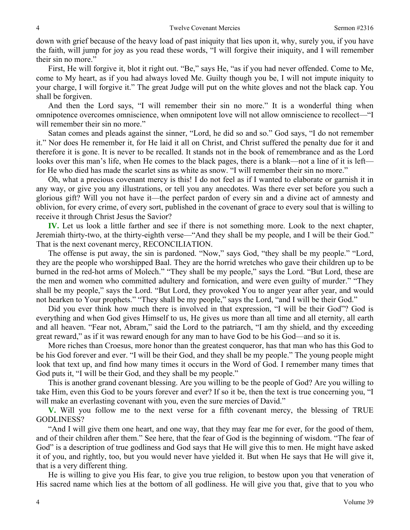down with grief because of the heavy load of past iniquity that lies upon it, why, surely you, if you have the faith, will jump for joy as you read these words, "I will forgive their iniquity, and I will remember their sin no more."

First, He will forgive it, blot it right out. "Be," says He, "as if you had never offended. Come to Me, come to My heart, as if you had always loved Me. Guilty though you be, I will not impute iniquity to your charge, I will forgive it." The great Judge will put on the white gloves and not the black cap. You shall be forgiven.

And then the Lord says, "I will remember their sin no more." It is a wonderful thing when omnipotence overcomes omniscience, when omnipotent love will not allow omniscience to recollect—"I will remember their sin no more."

Satan comes and pleads against the sinner, "Lord, he did so and so." God says, "I do not remember it." Nor does He remember it, for He laid it all on Christ, and Christ suffered the penalty due for it and therefore it is gone. It is never to be recalled. It stands not in the book of remembrance and as the Lord looks over this man's life, when He comes to the black pages, there is a blank—not a line of it is left for He who died has made the scarlet sins as white as snow. "I will remember their sin no more."

Oh, what a precious covenant mercy is this! I do not feel as if I wanted to elaborate or garnish it in any way, or give you any illustrations, or tell you any anecdotes. Was there ever set before you such a glorious gift? Will you not have it—the perfect pardon of every sin and a divine act of amnesty and oblivion, for every crime, of every sort, published in the covenant of grace to every soul that is willing to receive it through Christ Jesus the Savior?

**IV.** Let us look a little farther and see if there is not something more. Look to the next chapter, Jeremiah thirty-two, at the thirty-eighth verse—"And they shall be my people, and I will be their God." That is the next covenant mercy, RECONCILIATION.

The offense is put away, the sin is pardoned. "Now," says God, "they shall be my people." "Lord, they are the people who worshipped Baal. They are the horrid wretches who gave their children up to be burned in the red-hot arms of Molech." "They shall be my people," says the Lord. "But Lord, these are the men and women who committed adultery and fornication, and were even guilty of murder." "They shall be my people," says the Lord. "But Lord, they provoked You to anger year after year, and would not hearken to Your prophets." "They shall be my people," says the Lord, "and I will be their God."

Did you ever think how much there is involved in that expression, "I will be their God"? God is everything and when God gives Himself to us, He gives us more than all time and all eternity, all earth and all heaven. "Fear not, Abram," said the Lord to the patriarch, "I am thy shield, and thy exceeding great reward," as if it was reward enough for any man to have God to be his God—and so it is.

More riches than Croesus, more honor than the greatest conqueror, has that man who has this God to be his God forever and ever. "I will be their God, and they shall be my people." The young people might look that text up, and find how many times it occurs in the Word of God. I remember many times that God puts it, "I will be their God, and they shall be my people."

This is another grand covenant blessing. Are you willing to be the people of God? Are you willing to take Him, even this God to be yours forever and ever? If so it be, then the text is true concerning you, "I will make an everlasting covenant with you, even the sure mercies of David."

**V.** Will you follow me to the next verse for a fifth covenant mercy, the blessing of TRUE GODLINESS?

"And I will give them one heart, and one way, that they may fear me for ever, for the good of them, and of their children after them." See here, that the fear of God is the beginning of wisdom. "The fear of God" is a description of true godliness and God says that He will give this to men. He might have asked it of you, and rightly, too, but you would never have yielded it. But when He says that He will give it, that is a very different thing.

He is willing to give you His fear, to give you true religion, to bestow upon you that veneration of His sacred name which lies at the bottom of all godliness. He will give you that, give that to you who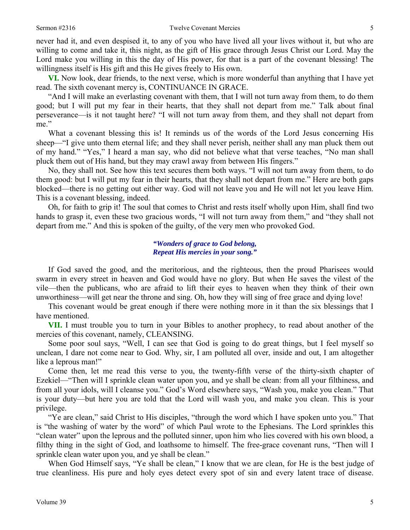never had it, and even despised it, to any of you who have lived all your lives without it, but who are willing to come and take it, this night, as the gift of His grace through Jesus Christ our Lord. May the Lord make you willing in this the day of His power, for that is a part of the covenant blessing! The willingness itself is His gift and this He gives freely to His own.

**VI.** Now look, dear friends, to the next verse, which is more wonderful than anything that I have yet read. The sixth covenant mercy is, CONTINUANCE IN GRACE.

"And I will make an everlasting covenant with them, that I will not turn away from them, to do them good; but I will put my fear in their hearts, that they shall not depart from me." Talk about final perseverance—is it not taught here? "I will not turn away from them, and they shall not depart from me."

What a covenant blessing this is! It reminds us of the words of the Lord Jesus concerning His sheep—"I give unto them eternal life; and they shall never perish, neither shall any man pluck them out of my hand." "Yes," I heard a man say, who did not believe what that verse teaches, "No man shall pluck them out of His hand, but they may crawl away from between His fingers."

No, they shall not. See how this text secures them both ways. "I will not turn away from them, to do them good: but I will put my fear in their hearts, that they shall not depart from me." Here are both gaps blocked—there is no getting out either way. God will not leave you and He will not let you leave Him. This is a covenant blessing, indeed.

Oh, for faith to grip it! The soul that comes to Christ and rests itself wholly upon Him, shall find two hands to grasp it, even these two gracious words, "I will not turn away from them," and "they shall not depart from me." And this is spoken of the guilty, of the very men who provoked God.

### *"Wonders of grace to God belong, Repeat His mercies in your song."*

If God saved the good, and the meritorious, and the righteous, then the proud Pharisees would swarm in every street in heaven and God would have no glory. But when He saves the vilest of the vile—then the publicans, who are afraid to lift their eyes to heaven when they think of their own unworthiness—will get near the throne and sing. Oh, how they will sing of free grace and dying love!

This covenant would be great enough if there were nothing more in it than the six blessings that I have mentioned.

**VII.** I must trouble you to turn in your Bibles to another prophecy, to read about another of the mercies of this covenant, namely, CLEANSING.

Some poor soul says, "Well, I can see that God is going to do great things, but I feel myself so unclean, I dare not come near to God. Why, sir, I am polluted all over, inside and out, I am altogether like a leprous man!"

Come then, let me read this verse to you, the twenty-fifth verse of the thirty-sixth chapter of Ezekiel—"Then will I sprinkle clean water upon you, and ye shall be clean: from all your filthiness, and from all your idols, will I cleanse you." God's Word elsewhere says, "Wash you, make you clean." That is your duty—but here you are told that the Lord will wash you, and make you clean. This is your privilege.

"Ye are clean," said Christ to His disciples, "through the word which I have spoken unto you." That is "the washing of water by the word" of which Paul wrote to the Ephesians. The Lord sprinkles this "clean water" upon the leprous and the polluted sinner, upon him who lies covered with his own blood, a filthy thing in the sight of God, and loathsome to himself. The free-grace covenant runs, "Then will I sprinkle clean water upon you, and ye shall be clean."

When God Himself says, "Ye shall be clean," I know that we are clean, for He is the best judge of true cleanliness. His pure and holy eyes detect every spot of sin and every latent trace of disease.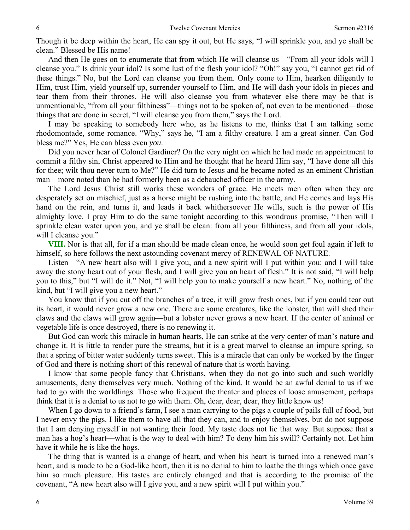Though it be deep within the heart, He can spy it out, but He says, "I will sprinkle you, and ye shall be clean." Blessed be His name!

And then He goes on to enumerate that from which He will cleanse us—"From all your idols will I cleanse you." Is drink your idol? Is some lust of the flesh your idol? "Oh!" say you, "I cannot get rid of these things." No, but the Lord can cleanse you from them. Only come to Him, hearken diligently to Him, trust Him, yield yourself up, surrender yourself to Him, and He will dash your idols in pieces and tear them from their thrones. He will also cleanse you from whatever else there may be that is unmentionable, "from all your filthiness"—things not to be spoken of, not even to be mentioned—those things that are done in secret, "I will cleanse you from them," says the Lord.

I may be speaking to somebody here who, as he listens to me, thinks that I am talking some rhodomontade, some romance. "Why," says he, "I am a filthy creature. I am a great sinner. Can God bless me?" Yes, He can bless even *you*.

Did you never hear of Colonel Gardiner? On the very night on which he had made an appointment to commit a filthy sin, Christ appeared to Him and he thought that he heard Him say, "I have done all this for thee; wilt thou never turn to Me?" He did turn to Jesus and he became noted as an eminent Christian man—more noted than he had formerly been as a debauched officer in the army.

The Lord Jesus Christ still works these wonders of grace. He meets men often when they are desperately set on mischief, just as a horse might be rushing into the battle, and He comes and lays His hand on the rein, and turns it, and leads it back whithersoever He wills, such is the power of His almighty love. I pray Him to do the same tonight according to this wondrous promise, "Then will I sprinkle clean water upon you, and ye shall be clean: from all your filthiness, and from all your idols, will I cleanse you."

**VIII.** Nor is that all, for if a man should be made clean once, he would soon get foul again if left to himself, so here follows the next astounding covenant mercy of RENEWAL OF NATURE.

Listen—"A new heart also will I give you, and a new spirit will I put within you: and I will take away the stony heart out of your flesh, and I will give you an heart of flesh." It is not said, "I will help you to this," but "I will do it." Not, "I will help you to make yourself a new heart." No, nothing of the kind, but "I will give you a new heart."

You know that if you cut off the branches of a tree, it will grow fresh ones, but if you could tear out its heart, it would never grow a new one. There are some creatures, like the lobster, that will shed their claws and the claws will grow again—but a lobster never grows a new heart. If the center of animal or vegetable life is once destroyed, there is no renewing it.

But God can work this miracle in human hearts, He can strike at the very center of man's nature and change it. It is little to render pure the streams, but it is a great marvel to cleanse an impure spring, so that a spring of bitter water suddenly turns sweet. This is a miracle that can only be worked by the finger of God and there is nothing short of this renewal of nature that is worth having.

I know that some people fancy that Christians, when they do not go into such and such worldly amusements, deny themselves very much. Nothing of the kind. It would be an awful denial to us if we had to go with the worldlings. Those who frequent the theater and places of loose amusement, perhaps think that it is a denial to us not to go with them. Oh, dear, dear, dear, they little know us!

When I go down to a friend's farm, I see a man carrying to the pigs a couple of pails full of food, but I never envy the pigs. I like them to have all that they can, and to enjoy themselves, but do not suppose that I am denying myself in not wanting their food. My taste does not lie that way. But suppose that a man has a hog's heart—what is the way to deal with him? To deny him his swill? Certainly not. Let him have it while he is like the hogs.

The thing that is wanted is a change of heart, and when his heart is turned into a renewed man's heart, and is made to be a God-like heart, then it is no denial to him to loathe the things which once gave him so much pleasure. His tastes are entirely changed and that is according to the promise of the covenant, "A new heart also will I give you, and a new spirit will I put within you."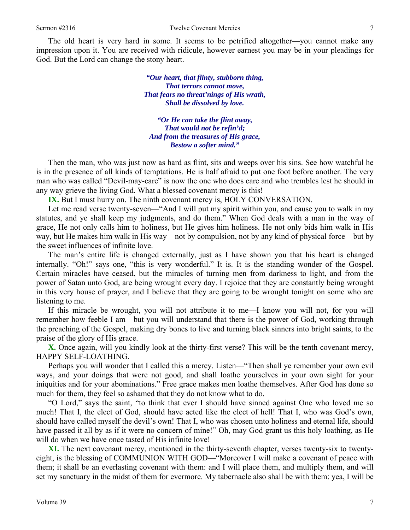The old heart is very hard in some. It seems to be petrified altogether—you cannot make any impression upon it. You are received with ridicule, however earnest you may be in your pleadings for God. But the Lord can change the stony heart.

> *"Our heart, that flinty, stubborn thing, That terrors cannot move, That fears no threat'nings of His wrath, Shall be dissolved by love.*

*"Or He can take the flint away, That would not be refin'd; And from the treasures of His grace, Bestow a softer mind."* 

Then the man, who was just now as hard as flint, sits and weeps over his sins. See how watchful he is in the presence of all kinds of temptations. He is half afraid to put one foot before another. The very man who was called "Devil-may-care" is now the one who does care and who trembles lest he should in any way grieve the living God. What a blessed covenant mercy is this!

**IX.** But I must hurry on. The ninth covenant mercy is, HOLY CONVERSATION.

Let me read verse twenty-seven—"And I will put my spirit within you, and cause you to walk in my statutes, and ye shall keep my judgments, and do them." When God deals with a man in the way of grace, He not only calls him to holiness, but He gives him holiness. He not only bids him walk in His way, but He makes him walk in His way—not by compulsion, not by any kind of physical force—but by the sweet influences of infinite love.

The man's entire life is changed externally, just as I have shown you that his heart is changed internally. "Oh!" says one, "this is very wonderful." It is. It is the standing wonder of the Gospel. Certain miracles have ceased, but the miracles of turning men from darkness to light, and from the power of Satan unto God, are being wrought every day. I rejoice that they are constantly being wrought in this very house of prayer, and I believe that they are going to be wrought tonight on some who are listening to me.

If this miracle be wrought, you will not attribute it to me—I know you will not, for you will remember how feeble I am—but you will understand that there is the power of God, working through the preaching of the Gospel, making dry bones to live and turning black sinners into bright saints, to the praise of the glory of His grace.

**X.** Once again, will you kindly look at the thirty-first verse? This will be the tenth covenant mercy, HAPPY SELF-LOATHING.

Perhaps you will wonder that I called this a mercy. Listen—"Then shall ye remember your own evil ways, and your doings that were not good, and shall loathe yourselves in your own sight for your iniquities and for your abominations." Free grace makes men loathe themselves. After God has done so much for them, they feel so ashamed that they do not know what to do.

"O Lord," says the saint, "to think that ever I should have sinned against One who loved me so much! That I, the elect of God, should have acted like the elect of hell! That I, who was God's own, should have called myself the devil's own! That I, who was chosen unto holiness and eternal life, should have passed it all by as if it were no concern of mine!" Oh, may God grant us this holy loathing, as He will do when we have once tasted of His infinite love!

**XI.** The next covenant mercy, mentioned in the thirty-seventh chapter, verses twenty-six to twentyeight, is the blessing of COMMUNION WITH GOD—"Moreover I will make a covenant of peace with them; it shall be an everlasting covenant with them: and I will place them, and multiply them, and will set my sanctuary in the midst of them for evermore. My tabernacle also shall be with them: yea, I will be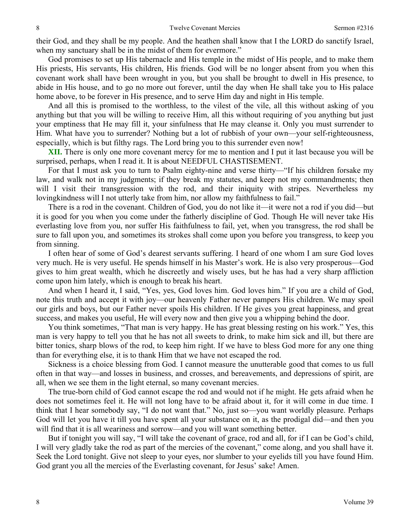their God, and they shall be my people. And the heathen shall know that I the LORD do sanctify Israel, when my sanctuary shall be in the midst of them for evermore."

God promises to set up His tabernacle and His temple in the midst of His people, and to make them His priests, His servants, His children, His friends. God will be no longer absent from you when this covenant work shall have been wrought in you, but you shall be brought to dwell in His presence, to abide in His house, and to go no more out forever, until the day when He shall take you to His palace home above, to be forever in His presence, and to serve Him day and night in His temple.

And all this is promised to the worthless, to the vilest of the vile, all this without asking of you anything but that you will be willing to receive Him, all this without requiring of you anything but just your emptiness that He may fill it, your sinfulness that He may cleanse it. Only you must surrender to Him. What have you to surrender? Nothing but a lot of rubbish of your own—your self-righteousness, especially, which is but filthy rags. The Lord bring you to this surrender even now!

**XII.** There is only one more covenant mercy for me to mention and I put it last because you will be surprised, perhaps, when I read it. It is about NEEDFUL CHASTISEMENT.

For that I must ask you to turn to Psalm eighty-nine and verse thirty—"If his children forsake my law, and walk not in my judgments; if they break my statutes, and keep not my commandments; then will I visit their transgression with the rod, and their iniquity with stripes. Nevertheless my lovingkindness will I not utterly take from him, nor allow my faithfulness to fail."

There is a rod in the covenant. Children of God, you do not like it—it were not a rod if you did—but it is good for you when you come under the fatherly discipline of God. Though He will never take His everlasting love from you, nor suffer His faithfulness to fail, yet, when you transgress, the rod shall be sure to fall upon you, and sometimes its strokes shall come upon you before you transgress, to keep you from sinning.

I often hear of some of God's dearest servants suffering. I heard of one whom I am sure God loves very much. He is very useful. He spends himself in his Master's work. He is also very prosperous—God gives to him great wealth, which he discreetly and wisely uses, but he has had a very sharp affliction come upon him lately, which is enough to break his heart.

And when I heard it, I said, "Yes, yes, God loves him. God loves him." If you are a child of God, note this truth and accept it with joy—our heavenly Father never pampers His children. We may spoil our girls and boys, but our Father never spoils His children. If He gives you great happiness, and great success, and makes you useful, He will every now and then give you a whipping behind the door.

You think sometimes, "That man is very happy. He has great blessing resting on his work." Yes, this man is very happy to tell you that he has not all sweets to drink, to make him sick and ill, but there are bitter tonics, sharp blows of the rod, to keep him right. If we have to bless God more for any one thing than for everything else, it is to thank Him that we have not escaped the rod.

Sickness is a choice blessing from God. I cannot measure the unutterable good that comes to us full often in that way—and losses in business, and crosses, and bereavements, and depressions of spirit, are all, when we see them in the light eternal, so many covenant mercies.

The true-born child of God cannot escape the rod and would not if he might. He gets afraid when he does not sometimes feel it. He will not long have to be afraid about it, for it will come in due time. I think that I hear somebody say, "I do not want that." No, just so—you want worldly pleasure. Perhaps God will let you have it till you have spent all your substance on it, as the prodigal did—and then you will find that it is all weariness and sorrow—and you will want something better.

But if tonight you will say, "I will take the covenant of grace, rod and all, for if I can be God's child, I will very gladly take the rod as part of the mercies of the covenant," come along, and you shall have it. Seek the Lord tonight. Give not sleep to your eyes, nor slumber to your eyelids till you have found Him. God grant you all the mercies of the Everlasting covenant, for Jesus' sake! Amen.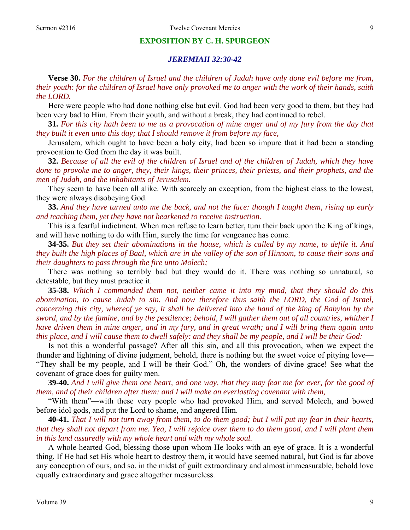#### **EXPOSITION BY C. H. SPURGEON**

### *JEREMIAH 32:30-42*

**Verse 30.** *For the children of Israel and the children of Judah have only done evil before me from, their youth: for the children of Israel have only provoked me to anger with the work of their hands, saith the LORD.* 

Here were people who had done nothing else but evil. God had been very good to them, but they had been very bad to Him. From their youth, and without a break, they had continued to rebel.

**31.** *For this city hath been to me as a provocation of mine anger and of my fury from the day that they built it even unto this day; that I should remove it from before my face,* 

Jerusalem, which ought to have been a holy city, had been so impure that it had been a standing provocation to God from the day it was built.

**32.** *Because of all the evil of the children of Israel and of the children of Judah, which they have done to provoke me to anger, they, their kings, their princes, their priests, and their prophets, and the men of Judah, and the inhabitants of Jerusalem.* 

They seem to have been all alike. With scarcely an exception, from the highest class to the lowest, they were always disobeying God.

**33.** *And they have turned unto me the back, and not the face: though I taught them, rising up early and teaching them, yet they have not hearkened to receive instruction.* 

This is a fearful indictment. When men refuse to learn better, turn their back upon the King of kings, and will have nothing to do with Him, surely the time for vengeance has come.

**34-35.** *But they set their abominations in the house, which is called by my name, to defile it. And they built the high places of Baal, which are in the valley of the son of Hinnom, to cause their sons and their daughters to pass through the fire unto Molech;* 

There was nothing so terribly bad but they would do it. There was nothing so unnatural, so detestable, but they must practice it.

**35-38.** *Which I commanded them not, neither came it into my mind, that they should do this abomination, to cause Judah to sin. And now therefore thus saith the LORD, the God of Israel, concerning this city, whereof ye say, It shall be delivered into the hand of the king of Babylon by the sword, and by the famine, and by the pestilence; behold, I will gather them out of all countries, whither I have driven them in mine anger, and in my fury, and in great wrath; and I will bring them again unto this place, and I will cause them to dwell safely: and they shall be my people, and I will be their God:* 

Is not this a wonderful passage? After all this sin, and all this provocation, when we expect the thunder and lightning of divine judgment, behold, there is nothing but the sweet voice of pitying love— "They shall be my people, and I will be their God." Oh, the wonders of divine grace! See what the covenant of grace does for guilty men.

**39-40.** *And I will give them one heart, and one way, that they may fear me for ever, for the good of them, and of their children after them: and I will make an everlasting covenant with them,* 

"With them"—with these very people who had provoked Him, and served Molech, and bowed before idol gods, and put the Lord to shame, and angered Him.

**40-41.** *That I will not turn away from them, to do them good; but I will put my fear in their hearts, that they shall not depart from me. Yea, I will rejoice over them to do them good, and I will plant them in this land assuredly with my whole heart and with my whole soul.* 

A whole-hearted God, blessing those upon whom He looks with an eye of grace. It is a wonderful thing. If He had set His whole heart to destroy them, it would have seemed natural, but God is far above any conception of ours, and so, in the midst of guilt extraordinary and almost immeasurable, behold love equally extraordinary and grace altogether measureless.